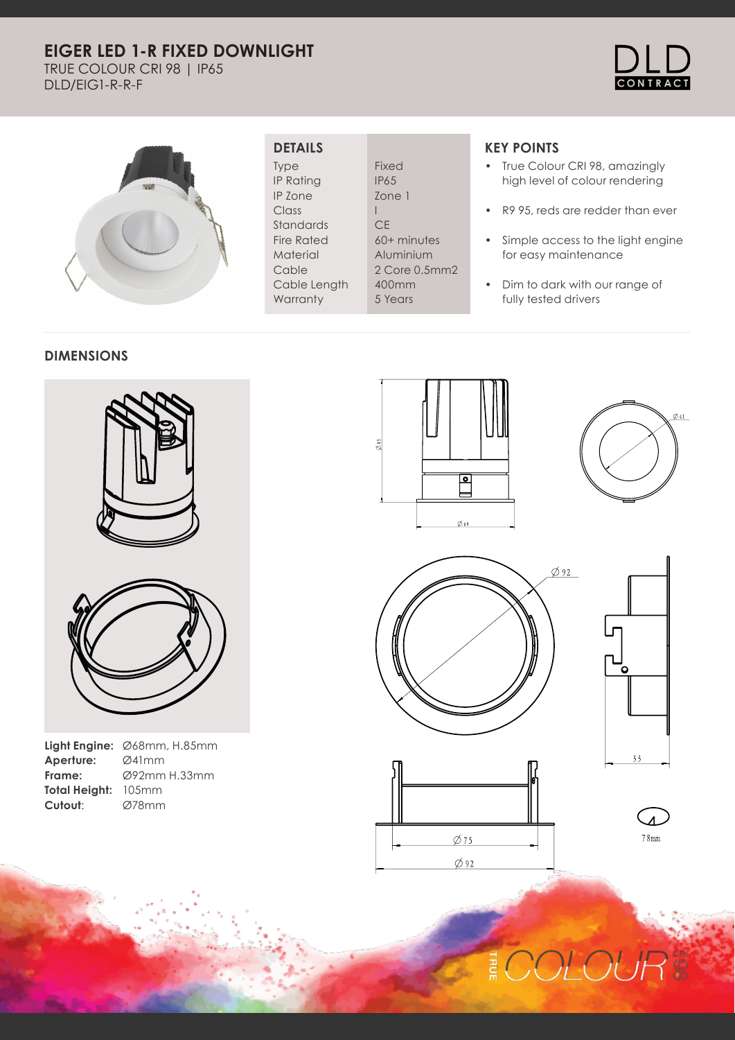# **EIGER LED 1-R FIXED DOWNLIGHT**

TRUE COLOUR CRI 98 | IP65 DLD/EIG1-R-R-F





## **DETAILS**

Type IP Rating IP Zone Class Standards Fire Rated Material Cable Cable Length **Warranty** 

Fixed IP65 Zone 1 I **CE** 60+ minutes Aluminium 2 Core 0.5mm2 400mm 5 Years

# **KEY POINTS**

- True Colour CRI 98, amazingly high level of colour rendering
- R9 95, reds are redder than ever
- Simple access to the light engine for easy maintenance
- Dim to dark with our range of fully tested drivers

#### **DIMENSIONS**





|                     | <b>Light Engine:</b> $\emptyset$ 68mm, H.85mm |
|---------------------|-----------------------------------------------|
| Aperture:           | Ø41mm                                         |
| Frame:              | Ø92mm H.33mm                                  |
| Total Height: 105mm |                                               |
| Cutout:             | Ø78mm                                         |
|                     |                                               |